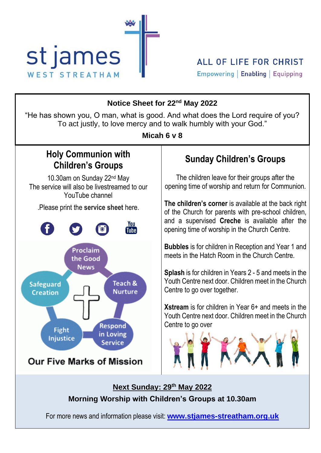

| Notice Sheet for 22 <sup>nd</sup> May 2022<br>"He has shown you, O man, what is good. And what does the Lord require of you?<br>To act justly, to love mercy and to walk humbly with your God."<br>Micah 6 v 8            |                                                                                                                                                                                                                                                                                                                                                                                                                |  |  |
|---------------------------------------------------------------------------------------------------------------------------------------------------------------------------------------------------------------------------|----------------------------------------------------------------------------------------------------------------------------------------------------------------------------------------------------------------------------------------------------------------------------------------------------------------------------------------------------------------------------------------------------------------|--|--|
| <b>Holy Communion with</b><br><b>Children's Groups</b>                                                                                                                                                                    | <b>Sunday Children's Groups</b>                                                                                                                                                                                                                                                                                                                                                                                |  |  |
| 10.30am on Sunday 22 <sup>nd</sup> May<br>The service will also be livestreamed to our<br>YouTube channel                                                                                                                 | The children leave for their groups after the<br>opening time of worship and return for Communion.                                                                                                                                                                                                                                                                                                             |  |  |
| . Please print the service sheet here.<br>You<br><b>Tube</b>                                                                                                                                                              | The children's corner is available at the back right<br>of the Church for parents with pre-school children,<br>and a supervised Creche is available after the<br>opening time of worship in the Church Centre.                                                                                                                                                                                                 |  |  |
| Proclaim<br>the Good<br><b>News</b><br>Teach &<br>Safeguard<br><b>Nurture</b><br><b>Creation</b><br><b>Respond</b><br><b>Fight</b><br>in Loving<br><b>Injustice</b><br><b>Service</b><br><b>Our Five Marks of Mission</b> | <b>Bubbles</b> is for children in Reception and Year 1 and<br>meets in the Hatch Room in the Church Centre.<br><b>Splash</b> is for children in Years 2 - 5 and meets in the<br>Youth Centre next door. Children meet in the Church<br>Centre to go over together.<br><b>Xstream</b> is for children in Year $6+$ and meets in the<br>Youth Centre next door. Children meet in the Church<br>Centre to go over |  |  |
| Next Sunday: 29th May 2022<br>Morning Worship with Children's Groups at 10.30am                                                                                                                                           |                                                                                                                                                                                                                                                                                                                                                                                                                |  |  |
| For more news and information please visit: <b>www.stjames-streatham.org.uk</b>                                                                                                                                           |                                                                                                                                                                                                                                                                                                                                                                                                                |  |  |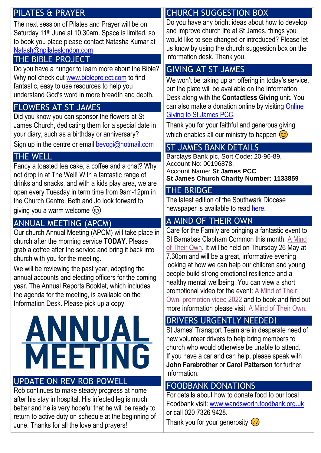#### PILATES & PRAYER

The next session of Pilates and Prayer will be on Saturday 11<sup>th</sup> June at 10.30am. Space is limited, so to book you place please contact Natasha Kumar at [Natash@npilateslondon.com](mailto:Natash@npilateslondon.com)

#### THE BIBLE PROJECT

Do you have a hunger to learn more about the Bible? Why not check out [www.bibleproject.com](http://www.bibleproject.com/) to find fantastic, easy to use resources to help you understand God's word in more breadth and depth.

#### FLOWERS AT ST JAMES

Did you know you can sponsor the flowers at St James Church, dedicating them for a special date in your diary, such as a birthday or anniversary? Sign up in the centre or email [bevogi@hotmail.com](mailto:bevogi@hotmail.com)

### THE WELL

Fancy a toasted tea cake, a coffee and a chat? Why not drop in at The Well! With a fantastic range of drinks and snacks, and with a kids play area, we are open every Tuesday in term time from 9am-12pm in the Church Centre. Beth and Jo look forward to giving you a warm welcome  $\circled{c}$ 

# ANNUAL MEETING (APCM)

Our church Annual Meeting (APCM) will take place in church after the morning service **TODAY**. Please grab a coffee after the service and bring it back into church with you for the meeting.

We will be reviewing the past year, adopting the annual accounts and electing officers for the coming year. The Annual Reports Booklet, which includes the agenda for the meeting, is available on the Information Desk. Please pick up a copy.



#### UPDATE ON REV ROB POWELL

Rob continues to make steady progress at home after his stay in hospital. His infected leg is much better and he is very hopeful that he will be ready to return to active duty on schedule at the beginning of June. Thanks for all the love and prayers!

# CHURCH SUGGESTION BOX

Do you have any bright ideas about how to develop and improve church life at St James, things you would like to see changed or introduced? Please let us know by using the church suggestion box on the information desk. Thank you.

## GIVING AT ST JAMES

We won't be taking up an offering in today's service, but the plate will be available on the Information Desk along with the **Contactless Giving** unit. You can also make a donation online by visiting [Online](https://givealittle.co/campaigns/3a29c7b7-0745-4e2e-b0ab-305c44196df0)  [Giving to St James PCC.](https://givealittle.co/campaigns/3a29c7b7-0745-4e2e-b0ab-305c44196df0)

Thank you for your faithful and generous giving which enables all our ministry to happen  $\odot$ 

## ST JAMES BANK DETAILS

Barclays Bank plc, Sort Code: 20-96-89, Account No: 00196878, Account Name: **St James PCC St James Church Charity Number: 1133859**

#### THE BRIDGE

The latest edition of the Southwark Diocese newspaper is available to read [here.](https://southwark.anglican.org/news-events/news/the-bridge-newspaper/)

## A MIND OF THEIR OWN

Care for the Family are bringing a fantastic event to St Barnabas Clapham Common this month: [A Mind](https://www.careforthefamily.org.uk/events/tourevents/a-mind-of-their-own/)  [of Their Own.](https://www.careforthefamily.org.uk/events/tourevents/a-mind-of-their-own/) It will be held on Thursday 26 May at 7.30pm and will be a great, informative evening looking at how we can help our children and young people build strong emotional resilience and a healthy mental wellbeing. You can view a short promotional video for the event: [A Mind of Their](https://www.youtube.com/watch?v=K9dEWGF8_Us)  [Own, promotion video 2022](https://www.youtube.com/watch?v=K9dEWGF8_Us) and to book and find out more information please visit: [A Mind of Their Own.](https://www.careforthefamily.org.uk/events/tourevents/a-mind-of-their-own/)

## DRIVERS URGENTLY NEEDED!

St James' Transport Team are in desperate need of new volunteer drivers to help bring members to church who would otherwise be unable to attend. If you have a car and can help, please speak with **John Farebrother** or **Carol Patterson** for further information.

#### FOODBANK DONATIONS

For details about how to donate food to our local Foodbank visit: [www.wandsworth.foodbank.org.uk](http://www.wandsworth.foodbank.org.uk/) or call 020 7326 9428.

Thank you for your generosity  $\odot$